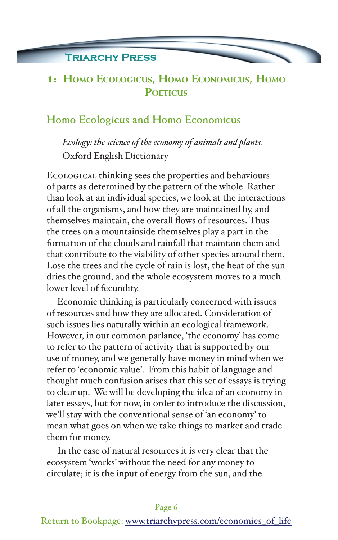### **TRIARCHY PRESS**

# **1: Homo Ecologicus, Homo Economicus, Homo POETICUS**

### **Homo Ecologicus and Homo Economicus**

*Ecology: the science of the economy of animals and plants.*  Oxford English Dictionary

Ecological thinking sees the properties and behaviours of parts as determined by the pattern of the whole. Rather than look at an individual species, we look at the interactions of all the organisms, and how they are maintained by, and themselves maintain, the overall flows of resources. Thus the trees on a mountainside themselves play a part in the formation of the clouds and rainfall that maintain them and that contribute to the viability of other species around them. Lose the trees and the cycle of rain is lost, the heat of the sun dries the ground, and the whole ecosystem moves to a much lower level of fecundity.

Economic thinking is particularly concerned with issues of resources and how they are allocated. Consideration of such issues lies naturally within an ecological framework. However, in our common parlance, 'the economy' has come to refer to the pattern of activity that is supported by our use of money, and we generally have money in mind when we refer to 'economic value'. From this habit of language and thought much confusion arises that this set of essays is trying to clear up. We will be developing the idea of an economy in later essays, but for now, in order to introduce the discussion, we'll stay with the conventional sense of 'an economy' to mean what goes on when we take things to market and trade them for money.

In the case of natural resources it is very clear that the ecosystem 'works' without the need for any money to circulate; it is the input of energy from the sun, and the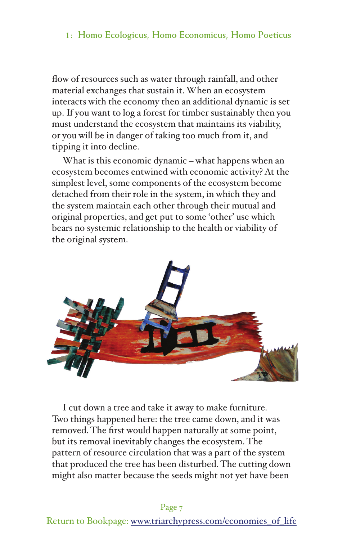### **1: Homo Ecologicus, Homo Economicus, Homo Poeticus**

flow of resources such as water through rainfall, and other material exchanges that sustain it. When an ecosystem interacts with the economy then an additional dynamic is set up. If you want to log a forest for timber sustainably then you must understand the ecosystem that maintains its viability, or you will be in danger of taking too much from it, and tipping it into decline.

What is this economic dynamic – what happens when an ecosystem becomes entwined with economic activity? At the simplest level, some components of the ecosystem become detached from their role in the system, in which they and the system maintain each other through their mutual and original properties, and get put to some 'other' use which bears no systemic relationship to the health or viability of the original system.



I cut down a tree and take it away to make furniture. Two things happened here: the tree came down, and it was removed. The first would happen naturally at some point, but its removal inevitably changes the ecosystem. The pattern of resource circulation that was a part of the system that produced the tree has been disturbed. The cutting down might also matter because the seeds might not yet have been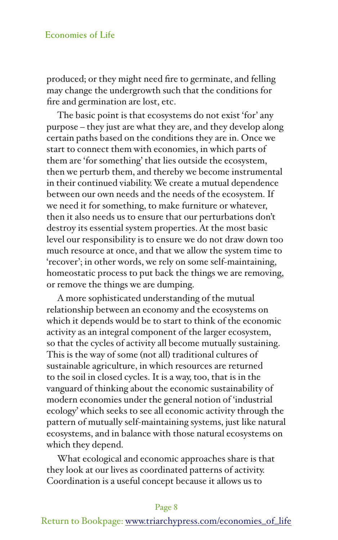#### **Economies of Life**

produced; or they might need fire to germinate, and felling may change the undergrowth such that the conditions for fire and germination are lost, etc.

The basic point is that ecosystems do not exist 'for' any purpose – they just are what they are, and they develop along certain paths based on the conditions they are in. Once we start to connect them with economies, in which parts of them are 'for something' that lies outside the ecosystem, then we perturb them, and thereby we become instrumental in their continued viability. We create a mutual dependence between our own needs and the needs of the ecosystem. If we need it for something, to make furniture or whatever, then it also needs us to ensure that our perturbations don't destroy its essential system properties. At the most basic level our responsibility is to ensure we do not draw down too much resource at once, and that we allow the system time to 'recover'; in other words, we rely on some self-maintaining, homeostatic process to put back the things we are removing, or remove the things we are dumping.

A more sophisticated understanding of the mutual relationship between an economy and the ecosystems on which it depends would be to start to think of the economic activity as an integral component of the larger ecosystem, so that the cycles of activity all become mutually sustaining. This is the way of some (not all) traditional cultures of sustainable agriculture, in which resources are returned to the soil in closed cycles. It is a way, too, that is in the vanguard of thinking about the economic sustainability of modern economies under the general notion of 'industrial ecology' which seeks to see all economic activity through the pattern of mutually self-maintaining systems, just like natural ecosystems, and in balance with those natural ecosystems on which they depend.

What ecological and economic approaches share is that they look at our lives as coordinated patterns of activity. Coordination is a useful concept because it allows us to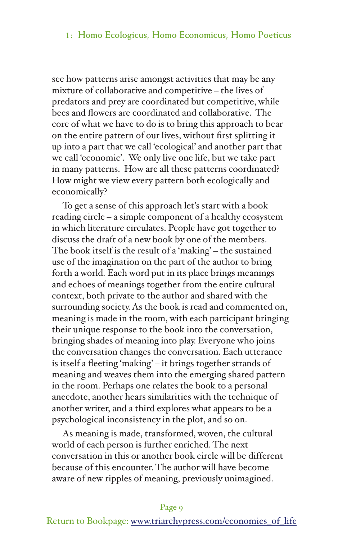#### **1: Homo Ecologicus, Homo Economicus, Homo Poeticus**

see how patterns arise amongst activities that may be any mixture of collaborative and competitive – the lives of predators and prey are coordinated but competitive, while bees and flowers are coordinated and collaborative. The core of what we have to do is to bring this approach to bear on the entire pattern of our lives, without first splitting it up into a part that we call 'ecological' and another part that we call 'economic'. We only live one life, but we take part in many patterns. How are all these patterns coordinated? How might we view every pattern both ecologically and economically?

To get a sense of this approach let's start with a book reading circle – a simple component of a healthy ecosystem in which literature circulates. People have got together to discuss the draft of a new book by one of the members. The book itself is the result of a 'making' – the sustained use of the imagination on the part of the author to bring forth a world. Each word put in its place brings meanings and echoes of meanings together from the entire cultural context, both private to the author and shared with the surrounding society. As the book is read and commented on, meaning is made in the room, with each participant bringing their unique response to the book into the conversation, bringing shades of meaning into play. Everyone who joins the conversation changes the conversation. Each utterance is itself a fleeting 'making' – it brings together strands of meaning and weaves them into the emerging shared pattern in the room. Perhaps one relates the book to a personal anecdote, another hears similarities with the technique of another writer, and a third explores what appears to be a psychological inconsistency in the plot, and so on.

As meaning is made, transformed, woven, the cultural world of each person is further enriched. The next conversation in this or another book circle will be different because of this encounter. The author will have become aware of new ripples of meaning, previously unimagined.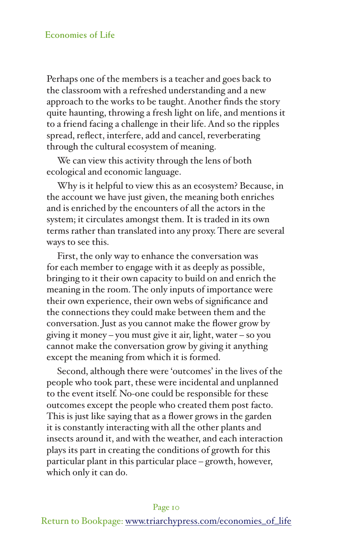#### **Economies of Life**

Perhaps one of the members is a teacher and goes back to the classroom with a refreshed understanding and a new approach to the works to be taught. Another finds the story quite haunting, throwing a fresh light on life, and mentions it to a friend facing a challenge in their life. And so the ripples spread, reflect, interfere, add and cancel, reverberating through the cultural ecosystem of meaning.

We can view this activity through the lens of both ecological and economic language.

Why is it helpful to view this as an ecosystem? Because, in the account we have just given, the meaning both enriches and is enriched by the encounters of all the actors in the system; it circulates amongst them. It is traded in its own terms rather than translated into any proxy. There are several ways to see this.

First, the only way to enhance the conversation was for each member to engage with it as deeply as possible, bringing to it their own capacity to build on and enrich the meaning in the room. The only inputs of importance were their own experience, their own webs of significance and the connections they could make between them and the conversation. Just as you cannot make the flower grow by giving it money – you must give it air, light, water – so you cannot make the conversation grow by giving it anything except the meaning from which it is formed.

Second, although there were 'outcomes' in the lives of the people who took part, these were incidental and unplanned to the event itself. No-one could be responsible for these outcomes except the people who created them post facto. This is just like saying that as a flower grows in the garden it is constantly interacting with all the other plants and insects around it, and with the weather, and each interaction plays its part in creating the conditions of growth for this particular plant in this particular place – growth, however, which only it can do.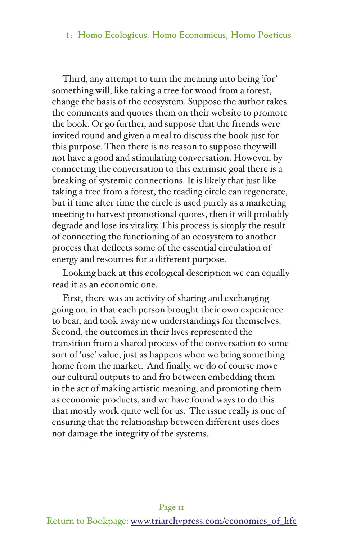#### **1: Homo Ecologicus, Homo Economicus, Homo Poeticus**

Third, any attempt to turn the meaning into being 'for' something will, like taking a tree for wood from a forest, change the basis of the ecosystem. Suppose the author takes the comments and quotes them on their website to promote the book. Or go further, and suppose that the friends were invited round and given a meal to discuss the book just for this purpose. Then there is no reason to suppose they will not have a good and stimulating conversation. However, by connecting the conversation to this extrinsic goal there is a breaking of systemic connections. It is likely that just like taking a tree from a forest, the reading circle can regenerate, but if time after time the circle is used purely as a marketing meeting to harvest promotional quotes, then it will probably degrade and lose its vitality. This process is simply the result of connecting the functioning of an ecosystem to another process that deflects some of the essential circulation of energy and resources for a different purpose.

Looking back at this ecological description we can equally read it as an economic one.

First, there was an activity of sharing and exchanging going on, in that each person brought their own experience to bear, and took away new understandings for themselves. Second, the outcomes in their lives represented the transition from a shared process of the conversation to some sort of 'use' value, just as happens when we bring something home from the market. And finally, we do of course move our cultural outputs to and fro between embedding them in the act of making artistic meaning, and promoting them as economic products, and we have found ways to do this that mostly work quite well for us. The issue really is one of ensuring that the relationship between different uses does not damage the integrity of the systems.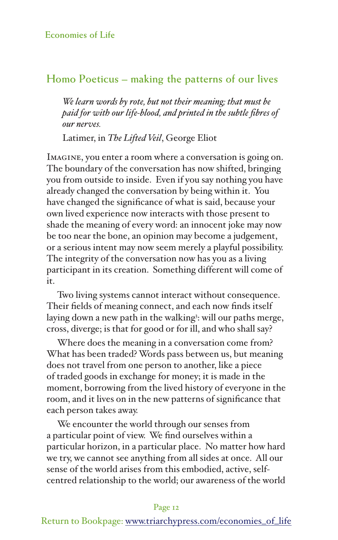## **Homo Poeticus – making the patterns of our lives**

*We learn words by rote, but not their meaning; that must be paid for with our life-blood, and printed in the subtle fibres of our nerves.* 

Latimer, in *The Lifted Veil*, George Eliot

Imagine, you enter a room where a conversation is going on. The boundary of the conversation has now shifted, bringing you from outside to inside. Even if you say nothing you have already changed the conversation by being within it. You have changed the significance of what is said, because your own lived experience now interacts with those present to shade the meaning of every word: an innocent joke may now be too near the bone, an opinion may become a judgement, or a serious intent may now seem merely a playful possibility. The integrity of the conversation now has you as a living participant in its creation. Something different will come of it.

Two living systems cannot interact without consequence. Their fields of meaning connect, and each now finds itself laying down a new path in the walking<sup>3</sup>: will our paths merge, cross, diverge; is that for good or for ill, and who shall say?

Where does the meaning in a conversation come from? What has been traded? Words pass between us, but meaning does not travel from one person to another, like a piece of traded goods in exchange for money; it is made in the moment, borrowing from the lived history of everyone in the room, and it lives on in the new patterns of significance that each person takes away.

We encounter the world through our senses from a particular point of view. We find ourselves within a particular horizon, in a particular place. No matter how hard we try, we cannot see anything from all sides at once. All our sense of the world arises from this embodied, active, selfcentred relationship to the world; our awareness of the world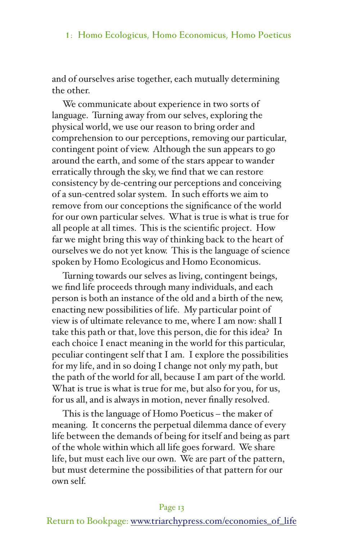and of ourselves arise together, each mutually determining the other.

We communicate about experience in two sorts of language. Turning away from our selves, exploring the physical world, we use our reason to bring order and comprehension to our perceptions, removing our particular, contingent point of view. Although the sun appears to go around the earth, and some of the stars appear to wander erratically through the sky, we find that we can restore consistency by de-centring our perceptions and conceiving of a sun-centred solar system. In such efforts we aim to remove from our conceptions the significance of the world for our own particular selves. What is true is what is true for all people at all times. This is the scientific project. How far we might bring this way of thinking back to the heart of ourselves we do not yet know. This is the language of science spoken by Homo Ecologicus and Homo Economicus.

Turning towards our selves as living, contingent beings, we find life proceeds through many individuals, and each person is both an instance of the old and a birth of the new, enacting new possibilities of life. My particular point of view is of ultimate relevance to me, where I am now: shall I take this path or that, love this person, die for this idea? In each choice I enact meaning in the world for this particular, peculiar contingent self that I am. I explore the possibilities for my life, and in so doing I change not only my path, but the path of the world for all, because I am part of the world. What is true is what is true for me, but also for you, for us, for us all, and is always in motion, never finally resolved.

This is the language of Homo Poeticus – the maker of meaning. It concerns the perpetual dilemma dance of every life between the demands of being for itself and being as part of the whole within which all life goes forward. We share life, but must each live our own. We are part of the pattern, but must determine the possibilities of that pattern for our own self.